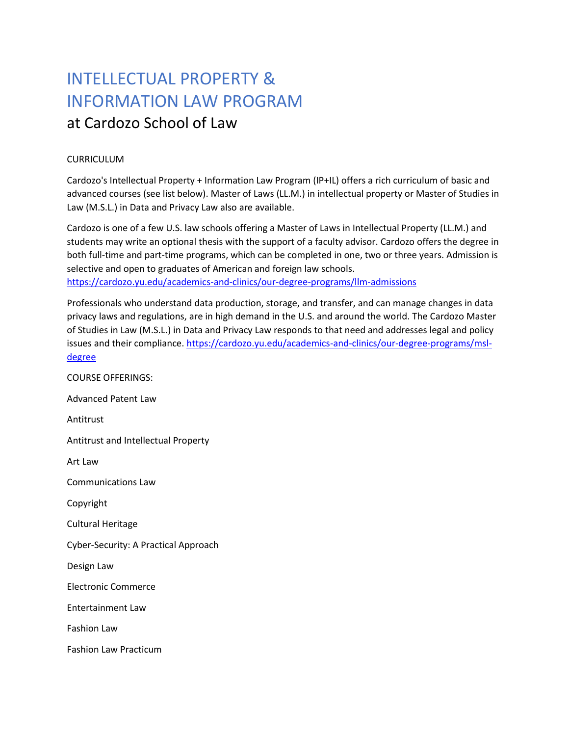## INTELLECTUAL PROPERTY & INFORMATION LAW PROGRAM at Cardozo School of Law

## CURRICULUM

Cardozo's Intellectual Property + Information Law Program (IP+IL) offers a rich curriculum of basic and advanced courses (see list below). Master of Laws (LL.M.) in intellectual property or Master of Studies in Law (M.S.L.) in Data and Privacy Law also are available.

Cardozo is one of a few U.S. law schools offering a Master of Laws in Intellectual Property (LL.M.) and students may write an optional thesis with the support of a faculty advisor. Cardozo offers the degree in both full-time and part-time programs, which can be completed in one, two or three years. Admission is selective and open to graduates of American and foreign law schools. <https://cardozo.yu.edu/academics-and-clinics/our-degree-programs/llm-admissions>

Professionals who understand data production, storage, and transfer, and can manage changes in data privacy laws and regulations, are in high demand in the U.S. and around the world. The Cardozo Master of Studies in Law (M.S.L.) in Data and Privacy Law responds to that need and addresses legal and policy issues and their compliance. [https://cardozo.yu.edu/academics-and-clinics/our-degree-programs/msl](https://cardozo.yu.edu/academics-and-clinics/our-degree-programs/msl-degree)[degree](https://cardozo.yu.edu/academics-and-clinics/our-degree-programs/msl-degree)

COURSE OFFERINGS: Advanced Patent Law Antitrust Antitrust and Intellectual Property Art Law Communications Law Copyright Cultural Heritage Cyber-Security: A Practical Approach Design Law Electronic Commerce Entertainment Law Fashion Law Fashion Law Practicum